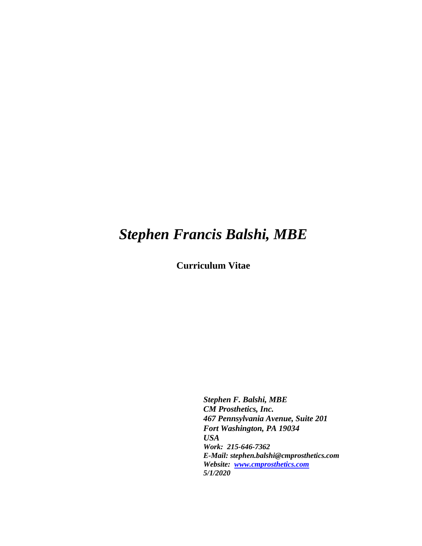# *Stephen Francis Balshi, MBE*

**Curriculum Vitae**

*Stephen F. Balshi, MBE CM Prosthetics, Inc. 467 Pennsylvania Avenue, Suite 201 Fort Washington, PA 19034 USA Work: 215-646-7362 E-Mail: stephen.balshi@cmprosthetics.com Website: [www.cmprosthetics.com](http://www.cmprosthetics.com/) 5/1/2020*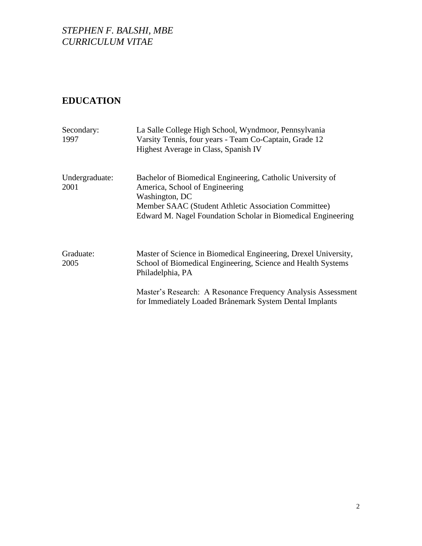# **EDUCATION**

| Secondary:<br>1997     | La Salle College High School, Wyndmoor, Pennsylvania<br>Varsity Tennis, four years - Team Co-Captain, Grade 12<br>Highest Average in Class, Spanish IV                                                                                 |
|------------------------|----------------------------------------------------------------------------------------------------------------------------------------------------------------------------------------------------------------------------------------|
| Undergraduate:<br>2001 | Bachelor of Biomedical Engineering, Catholic University of<br>America, School of Engineering<br>Washington, DC<br>Member SAAC (Student Athletic Association Committee)<br>Edward M. Nagel Foundation Scholar in Biomedical Engineering |
| Graduate:<br>2005      | Master of Science in Biomedical Engineering, Drexel University,<br>School of Biomedical Engineering, Science and Health Systems<br>Philadelphia, PA                                                                                    |
|                        | Master's Research: A Resonance Frequency Analysis Assessment<br>for Immediately Loaded Brånemark System Dental Implants                                                                                                                |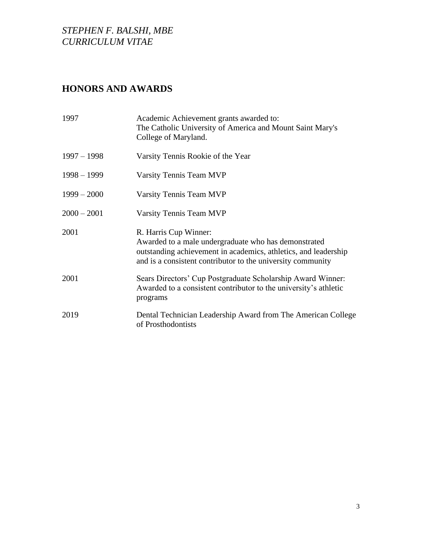# **HONORS AND AWARDS**

| 1997          | Academic Achievement grants awarded to:<br>The Catholic University of America and Mount Saint Mary's<br>College of Maryland.                                                                                    |
|---------------|-----------------------------------------------------------------------------------------------------------------------------------------------------------------------------------------------------------------|
| $1997 - 1998$ | Varsity Tennis Rookie of the Year                                                                                                                                                                               |
| $1998 - 1999$ | Varsity Tennis Team MVP                                                                                                                                                                                         |
| $1999 - 2000$ | Varsity Tennis Team MVP                                                                                                                                                                                         |
| $2000 - 2001$ | Varsity Tennis Team MVP                                                                                                                                                                                         |
| 2001          | R. Harris Cup Winner:<br>Awarded to a male undergraduate who has demonstrated<br>outstanding achievement in academics, athletics, and leadership<br>and is a consistent contributor to the university community |
| 2001          | Sears Directors' Cup Postgraduate Scholarship Award Winner:<br>Awarded to a consistent contributor to the university's athletic<br>programs                                                                     |
| 2019          | Dental Technician Leadership Award from The American College<br>of Prosthodontists                                                                                                                              |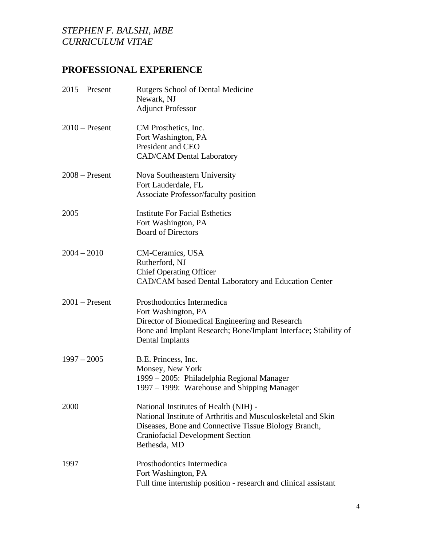# **PROFESSIONAL EXPERIENCE**

| $2015$ – Present | <b>Rutgers School of Dental Medicine</b><br>Newark, NJ<br><b>Adjunct Professor</b>                                                                                                                                       |
|------------------|--------------------------------------------------------------------------------------------------------------------------------------------------------------------------------------------------------------------------|
| $2010$ – Present | CM Prosthetics, Inc.<br>Fort Washington, PA<br>President and CEO<br><b>CAD/CAM Dental Laboratory</b>                                                                                                                     |
| $2008 -$ Present | Nova Southeastern University<br>Fort Lauderdale, FL<br><b>Associate Professor/faculty position</b>                                                                                                                       |
| 2005             | <b>Institute For Facial Esthetics</b><br>Fort Washington, PA<br><b>Board of Directors</b>                                                                                                                                |
| $2004 - 2010$    | CM-Ceramics, USA<br>Rutherford, NJ<br><b>Chief Operating Officer</b><br>CAD/CAM based Dental Laboratory and Education Center                                                                                             |
| $2001$ – Present | Prosthodontics Intermedica<br>Fort Washington, PA<br>Director of Biomedical Engineering and Research<br>Bone and Implant Research; Bone/Implant Interface; Stability of<br>Dental Implants                               |
| $1997 - 2005$    | B.E. Princess, Inc.<br>Monsey, New York<br>1999 – 2005: Philadelphia Regional Manager<br>1997 – 1999: Warehouse and Shipping Manager                                                                                     |
| 2000             | National Institutes of Health (NIH) -<br>National Institute of Arthritis and Musculoskeletal and Skin<br>Diseases, Bone and Connective Tissue Biology Branch,<br><b>Craniofacial Development Section</b><br>Bethesda, MD |
| 1997             | Prosthodontics Intermedica<br>Fort Washington, PA<br>Full time internship position - research and clinical assistant                                                                                                     |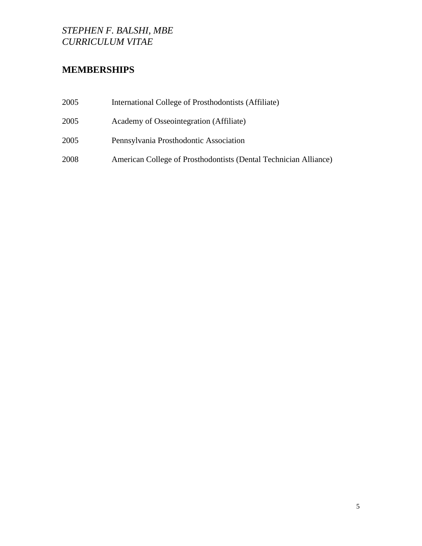# **MEMBERSHIPS**

| 2005 | International College of Prosthodontists (Affiliate)             |
|------|------------------------------------------------------------------|
| 2005 | Academy of Osseointegration (Affiliate)                          |
| 2005 | Pennsylvania Prosthodontic Association                           |
| 2008 | American College of Prosthodontists (Dental Technician Alliance) |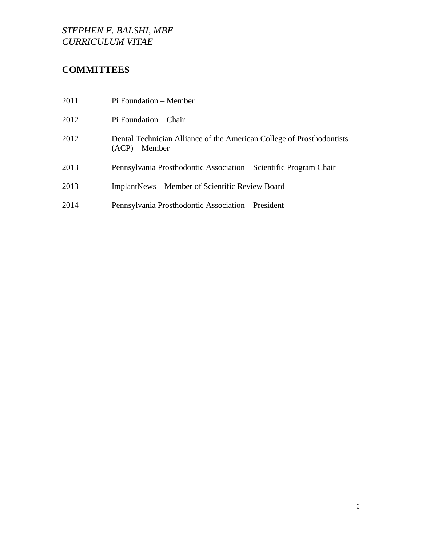# **COMMITTEES**

| 2011 | Pi Foundation – Member                                                                    |
|------|-------------------------------------------------------------------------------------------|
| 2012 | Pi Foundation – Chair                                                                     |
| 2012 | Dental Technician Alliance of the American College of Prosthodontists<br>$(ACP)$ – Member |
| 2013 | Pennsylvania Prosthodontic Association – Scientific Program Chair                         |
| 2013 | <b>ImplantNews</b> – Member of Scientific Review Board                                    |
| 2014 | Pennsylvania Prosthodontic Association – President                                        |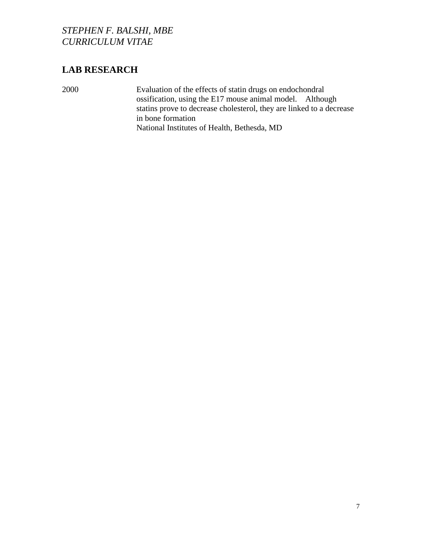# **LAB RESEARCH**

2000 Evaluation of the effects of statin drugs on endochondral ossification, using the E17 mouse animal model. Although statins prove to decrease cholesterol, they are linked to a decrease in bone formation National Institutes of Health, Bethesda, MD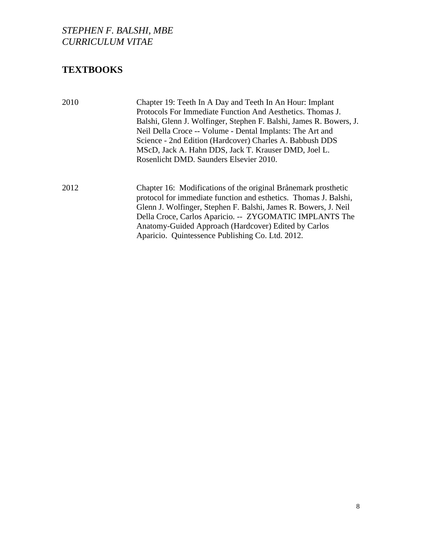# **TEXTBOOKS**

| 2010 | Chapter 19: Teeth In A Day and Teeth In An Hour: Implant<br>Protocols For Immediate Function And Aesthetics. Thomas J.<br>Balshi, Glenn J. Wolfinger, Stephen F. Balshi, James R. Bowers, J.<br>Neil Della Croce -- Volume - Dental Implants: The Art and<br>Science - 2nd Edition (Hardcover) Charles A. Babbush DDS<br>MScD, Jack A. Hahn DDS, Jack T. Krauser DMD, Joel L.<br>Rosenlicht DMD. Saunders Elsevier 2010. |
|------|--------------------------------------------------------------------------------------------------------------------------------------------------------------------------------------------------------------------------------------------------------------------------------------------------------------------------------------------------------------------------------------------------------------------------|
| 2012 | Chapter 16: Modifications of the original Brånemark prosthetic<br>protocol for immediate function and esthetics. Thomas J. Balshi,<br>Glenn J. Wolfinger, Stephen F. Balshi, James R. Bowers, J. Neil<br>Della Croce, Carlos Aparicio. -- ZYGOMATIC IMPLANTS The<br>Anatomy-Guided Approach (Hardcover) Edited by Carlos<br>Aparicio. Quintessence Publishing Co. Ltd. 2012.                                             |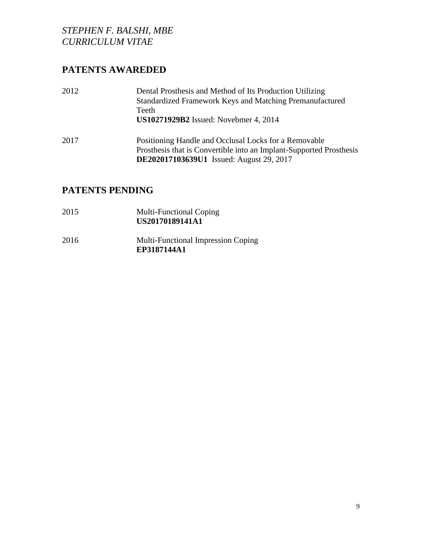# **PATENTS AWAREDED**

| 2012 | Dental Prosthesis and Method of Its Production Utilizing<br>Standardized Framework Keys and Matching Premanufactured<br>Teeth<br><b>US10271929B2</b> Issued: Novebmer 4, 2014   |
|------|---------------------------------------------------------------------------------------------------------------------------------------------------------------------------------|
| 2017 | Positioning Handle and Occlusal Locks for a Removable<br>Prosthesis that is Convertible into an Implant-Supported Prosthesis<br><b>DE202017103639U1</b> Issued: August 29, 2017 |

# **PATENTS PENDING**

- 2015 Multi-Functional Coping **US20170189141A1**
- 2016 Multi-Functional Impression Coping **EP3187144A1**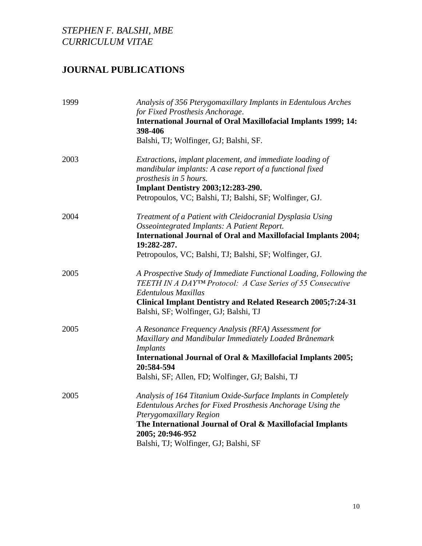# **JOURNAL PUBLICATIONS**

| 1999 | Analysis of 356 Pterygomaxillary Implants in Edentulous Arches                                                                                                                                                                                                                    |
|------|-----------------------------------------------------------------------------------------------------------------------------------------------------------------------------------------------------------------------------------------------------------------------------------|
|      | for Fixed Prosthesis Anchorage.<br><b>International Journal of Oral Maxillofacial Implants 1999; 14:</b><br>398-406                                                                                                                                                               |
|      | Balshi, TJ; Wolfinger, GJ; Balshi, SF.                                                                                                                                                                                                                                            |
| 2003 | Extractions, implant placement, and immediate loading of<br>mandibular implants: A case report of a functional fixed<br>prosthesis in 5 hours.<br><b>Implant Dentistry 2003;12:283-290.</b><br>Petropoulos, VC; Balshi, TJ; Balshi, SF; Wolfinger, GJ.                            |
| 2004 | Treatment of a Patient with Cleidocranial Dysplasia Using<br>Osseointegrated Implants: A Patient Report.<br><b>International Journal of Oral and Maxillofacial Implants 2004;</b><br>19:282-287.<br>Petropoulos, VC; Balshi, TJ; Balshi, SF; Wolfinger, GJ.                       |
| 2005 | A Prospective Study of Immediate Functional Loading, Following the<br>TEETH IN A DAYTM Protocol: A Case Series of 55 Consecutive<br>Edentulous Maxillas<br><b>Clinical Implant Dentistry and Related Research 2005;7:24-31</b><br>Balshi, SF; Wolfinger, GJ; Balshi, TJ           |
| 2005 | A Resonance Frequency Analysis (RFA) Assessment for<br>Maxillary and Mandibular Immediately Loaded Brånemark<br><b>Implants</b><br>International Journal of Oral & Maxillofacial Implants 2005;<br>20:584-594<br>Balshi, SF; Allen, FD; Wolfinger, GJ; Balshi, TJ                 |
| 2005 | Analysis of 164 Titanium Oxide-Surface Implants in Completely<br>Edentulous Arches for Fixed Prosthesis Anchorage Using the<br>Pterygomaxillary Region<br>The International Journal of Oral & Maxillofacial Implants<br>2005; 20:946-952<br>Balshi, TJ; Wolfinger, GJ; Balshi, SF |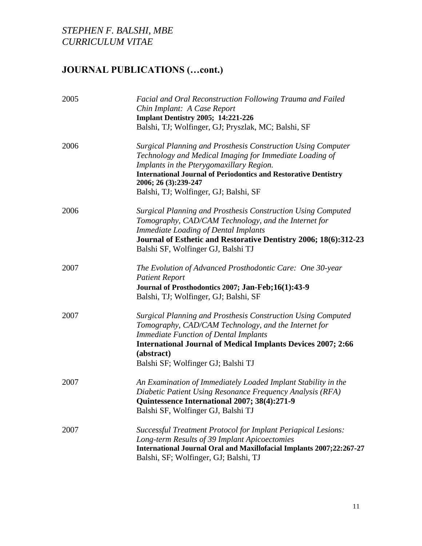| 2005 | Facial and Oral Reconstruction Following Trauma and Failed<br>Chin Implant: A Case Report<br><b>Implant Dentistry 2005; 14:221-226</b><br>Balshi, TJ; Wolfinger, GJ; Pryszlak, MC; Balshi, SF                                                                                                                         |
|------|-----------------------------------------------------------------------------------------------------------------------------------------------------------------------------------------------------------------------------------------------------------------------------------------------------------------------|
| 2006 | <b>Surgical Planning and Prosthesis Construction Using Computer</b><br>Technology and Medical Imaging for Immediate Loading of<br>Implants in the Pterygomaxillary Region.<br><b>International Journal of Periodontics and Restorative Dentistry</b><br>2006; 26 (3):239-247<br>Balshi, TJ; Wolfinger, GJ; Balshi, SF |
| 2006 | <b>Surgical Planning and Prosthesis Construction Using Computed</b><br>Tomography, CAD/CAM Technology, and the Internet for<br><b>Immediate Loading of Dental Implants</b><br>Journal of Esthetic and Restorative Dentistry 2006; 18(6):312-23<br>Balshi SF, Wolfinger GJ, Balshi TJ                                  |
| 2007 | The Evolution of Advanced Prosthodontic Care: One 30-year<br><b>Patient Report</b><br>Journal of Prosthodontics 2007; Jan-Feb;16(1):43-9<br>Balshi, TJ; Wolfinger, GJ; Balshi, SF                                                                                                                                     |
| 2007 | <b>Surgical Planning and Prosthesis Construction Using Computed</b><br>Tomography, CAD/CAM Technology, and the Internet for<br><b>Immediate Function of Dental Implants</b><br><b>International Journal of Medical Implants Devices 2007; 2:66</b><br>(abstract)<br>Balshi SF; Wolfinger GJ; Balshi TJ                |
| 2007 | An Examination of Immediately Loaded Implant Stability in the<br>Diabetic Patient Using Resonance Frequency Analysis (RFA)<br>Quintessence International 2007; 38(4):271-9<br>Balshi SF, Wolfinger GJ, Balshi TJ                                                                                                      |
| 2007 | Successful Treatment Protocol for Implant Periapical Lesions:<br>Long-term Results of 39 Implant Apicoectomies<br>International Journal Oral and Maxillofacial Implants 2007;22:267-27<br>Balshi, SF; Wolfinger, GJ; Balshi, TJ                                                                                       |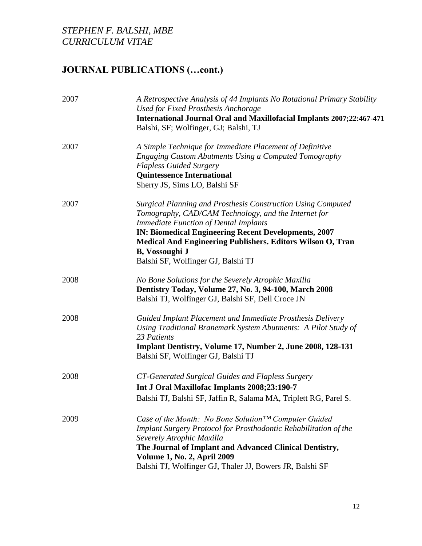| 2007 | A Retrospective Analysis of 44 Implants No Rotational Primary Stability<br><b>Used for Fixed Prosthesis Anchorage</b><br>International Journal Oral and Maxillofacial Implants 2007;22:467-471<br>Balshi, SF; Wolfinger, GJ; Balshi, TJ                                                                                                                                  |
|------|--------------------------------------------------------------------------------------------------------------------------------------------------------------------------------------------------------------------------------------------------------------------------------------------------------------------------------------------------------------------------|
| 2007 | A Simple Technique for Immediate Placement of Definitive<br>Engaging Custom Abutments Using a Computed Tomography<br><b>Flapless Guided Surgery</b><br><b>Quintessence International</b><br>Sherry JS, Sims LO, Balshi SF                                                                                                                                                |
| 2007 | <b>Surgical Planning and Prosthesis Construction Using Computed</b><br>Tomography, CAD/CAM Technology, and the Internet for<br><b>Immediate Function of Dental Implants</b><br><b>IN: Biomedical Engineering Recent Developments, 2007</b><br>Medical And Engineering Publishers. Editors Wilson O, Tran<br><b>B</b> , Vossoughi J<br>Balshi SF, Wolfinger GJ, Balshi TJ |
| 2008 | No Bone Solutions for the Severely Atrophic Maxilla<br>Dentistry Today, Volume 27, No. 3, 94-100, March 2008<br>Balshi TJ, Wolfinger GJ, Balshi SF, Dell Croce JN                                                                                                                                                                                                        |
| 2008 | Guided Implant Placement and Immediate Prosthesis Delivery<br>Using Traditional Branemark System Abutments: A Pilot Study of<br>23 Patients<br>Implant Dentistry, Volume 17, Number 2, June 2008, 128-131<br>Balshi SF, Wolfinger GJ, Balshi TJ                                                                                                                          |
| 2008 | CT-Generated Surgical Guides and Flapless Surgery<br>Int J Oral Maxillofac Implants 2008;23:190-7<br>Balshi TJ, Balshi SF, Jaffin R, Salama MA, Triplett RG, Parel S.                                                                                                                                                                                                    |
| 2009 | Case of the Month: No Bone Solution™ Computer Guided<br>Implant Surgery Protocol for Prosthodontic Rehabilitation of the<br>Severely Atrophic Maxilla<br>The Journal of Implant and Advanced Clinical Dentistry,<br><b>Volume 1, No. 2, April 2009</b><br>Balshi TJ, Wolfinger GJ, Thaler JJ, Bowers JR, Balshi SF                                                       |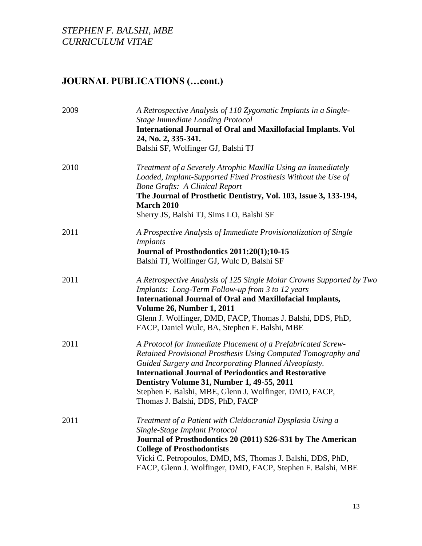| 2009 | A Retrospective Analysis of 110 Zygomatic Implants in a Single-<br>Stage Immediate Loading Protocol<br><b>International Journal of Oral and Maxillofacial Implants. Vol</b>                                                                                                                                                                                                                        |
|------|----------------------------------------------------------------------------------------------------------------------------------------------------------------------------------------------------------------------------------------------------------------------------------------------------------------------------------------------------------------------------------------------------|
|      | 24, No. 2, 335-341.<br>Balshi SF, Wolfinger GJ, Balshi TJ                                                                                                                                                                                                                                                                                                                                          |
| 2010 | Treatment of a Severely Atrophic Maxilla Using an Immediately<br>Loaded, Implant-Supported Fixed Prosthesis Without the Use of<br><b>Bone Grafts: A Clinical Report</b><br>The Journal of Prosthetic Dentistry, Vol. 103, Issue 3, 133-194,<br><b>March 2010</b><br>Sherry JS, Balshi TJ, Sims LO, Balshi SF                                                                                       |
| 2011 | A Prospective Analysis of Immediate Provisionalization of Single<br><i>Implants</i><br>Journal of Prosthodontics 2011:20(1);10-15<br>Balshi TJ, Wolfinger GJ, Wulc D, Balshi SF                                                                                                                                                                                                                    |
| 2011 | A Retrospective Analysis of 125 Single Molar Crowns Supported by Two<br>Implants: Long-Term Follow-up from 3 to 12 years<br><b>International Journal of Oral and Maxillofacial Implants,</b><br><b>Volume 26, Number 1, 2011</b><br>Glenn J. Wolfinger, DMD, FACP, Thomas J. Balshi, DDS, PhD,<br>FACP, Daniel Wulc, BA, Stephen F. Balshi, MBE                                                    |
| 2011 | A Protocol for Immediate Placement of a Prefabricated Screw-<br>Retained Provisional Prosthesis Using Computed Tomography and<br>Guided Surgery and Incorporating Planned Alveoplasty.<br><b>International Journal of Periodontics and Restorative</b><br>Dentistry Volume 31, Number 1, 49-55, 2011<br>Stephen F. Balshi, MBE, Glenn J. Wolfinger, DMD, FACP,<br>Thomas J. Balshi, DDS, PhD, FACP |
| 2011 | Treatment of a Patient with Cleidocranial Dysplasia Using a<br>Single-Stage Implant Protocol<br>Journal of Prosthodontics 20 (2011) S26-S31 by The American<br><b>College of Prosthodontists</b><br>Vicki C. Petropoulos, DMD, MS, Thomas J. Balshi, DDS, PhD,<br>FACP, Glenn J. Wolfinger, DMD, FACP, Stephen F. Balshi, MBE                                                                      |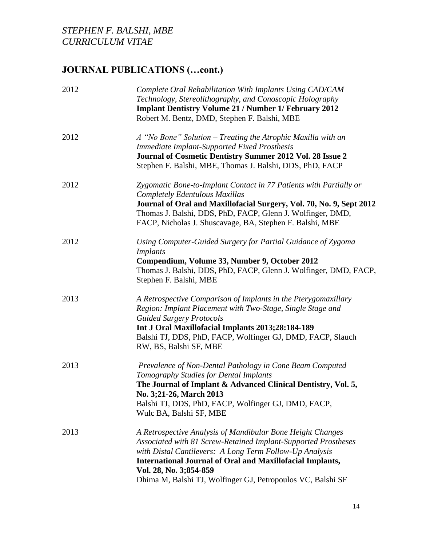| 2012 | Complete Oral Rehabilitation With Implants Using CAD/CAM<br>Technology, Stereolithography, and Conoscopic Holography<br><b>Implant Dentistry Volume 21 / Number 1/ February 2012</b><br>Robert M. Bentz, DMD, Stephen F. Balshi, MBE                                                                                                                 |
|------|------------------------------------------------------------------------------------------------------------------------------------------------------------------------------------------------------------------------------------------------------------------------------------------------------------------------------------------------------|
| 2012 | A "No Bone" Solution – Treating the Atrophic Maxilla with an<br><b>Immediate Implant-Supported Fixed Prosthesis</b><br>Journal of Cosmetic Dentistry Summer 2012 Vol. 28 Issue 2<br>Stephen F. Balshi, MBE, Thomas J. Balshi, DDS, PhD, FACP                                                                                                         |
| 2012 | Zygomatic Bone-to-Implant Contact in 77 Patients with Partially or<br><b>Completely Edentulous Maxillas</b><br>Journal of Oral and Maxillofacial Surgery, Vol. 70, No. 9, Sept 2012<br>Thomas J. Balshi, DDS, PhD, FACP, Glenn J. Wolfinger, DMD,<br>FACP, Nicholas J. Shuscavage, BA, Stephen F. Balshi, MBE                                        |
| 2012 | Using Computer-Guided Surgery for Partial Guidance of Zygoma<br><i>Implants</i><br>Compendium, Volume 33, Number 9, October 2012<br>Thomas J. Balshi, DDS, PhD, FACP, Glenn J. Wolfinger, DMD, FACP,<br>Stephen F. Balshi, MBE                                                                                                                       |
| 2013 | A Retrospective Comparison of Implants in the Pterygomaxillary<br>Region: Implant Placement with Two-Stage, Single Stage and<br><b>Guided Surgery Protocols</b><br>Int J Oral Maxillofacial Implants 2013;28:184-189<br>Balshi TJ, DDS, PhD, FACP, Wolfinger GJ, DMD, FACP, Slauch<br>RW, BS, Balshi SF, MBE                                         |
| 2013 | Prevalence of Non-Dental Pathology in Cone Beam Computed<br>Tomography Studies for Dental Implants<br>The Journal of Implant & Advanced Clinical Dentistry, Vol. 5,<br>No. 3;21-26, March 2013<br>Balshi TJ, DDS, PhD, FACP, Wolfinger GJ, DMD, FACP,<br>Wulc BA, Balshi SF, MBE                                                                     |
| 2013 | A Retrospective Analysis of Mandibular Bone Height Changes<br>Associated with 81 Screw-Retained Implant-Supported Prostheses<br>with Distal Cantilevers: A Long Term Follow-Up Analysis<br><b>International Journal of Oral and Maxillofacial Implants,</b><br>Vol. 28, No. 3;854-859<br>Dhima M, Balshi TJ, Wolfinger GJ, Petropoulos VC, Balshi SF |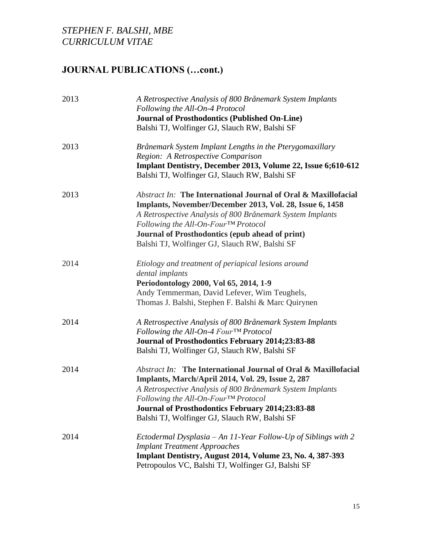| 2013 | A Retrospective Analysis of 800 Brånemark System Implants<br>Following the All-On-4 Protocol                  |
|------|---------------------------------------------------------------------------------------------------------------|
|      | <b>Journal of Prosthodontics (Published On-Line)</b><br>Balshi TJ, Wolfinger GJ, Slauch RW, Balshi SF         |
| 2013 | Brånemark System Implant Lengths in the Pterygomaxillary                                                      |
|      | Region: A Retrospective Comparison                                                                            |
|      | Implant Dentistry, December 2013, Volume 22, Issue 6;610-612<br>Balshi TJ, Wolfinger GJ, Slauch RW, Balshi SF |
| 2013 | <b>Abstract In: The International Journal of Oral &amp; Maxillofacial</b>                                     |
|      | Implants, November/December 2013, Vol. 28, Issue 6, 1458                                                      |
|      | A Retrospective Analysis of 800 Brånemark System Implants                                                     |
|      | Following the All-On-Four™ Protocol                                                                           |
|      | Journal of Prosthodontics (epub ahead of print)                                                               |
|      | Balshi TJ, Wolfinger GJ, Slauch RW, Balshi SF                                                                 |
| 2014 | Etiology and treatment of periapical lesions around                                                           |
|      | dental implants                                                                                               |
|      | Periodontology 2000, Vol 65, 2014, 1-9                                                                        |
|      | Andy Temmerman, David Lefever, Wim Teughels,                                                                  |
|      | Thomas J. Balshi, Stephen F. Balshi & Marc Quirynen                                                           |
| 2014 | A Retrospective Analysis of 800 Brånemark System Implants                                                     |
|      | Following the All-On-4 Four™ Protocol                                                                         |
|      | Journal of Prosthodontics February 2014;23:83-88                                                              |
|      | Balshi TJ, Wolfinger GJ, Slauch RW, Balshi SF                                                                 |
| 2014 | <b>Abstract In:</b> The International Journal of Oral & Maxillofacial                                         |
|      | Implants, March/April 2014, Vol. 29, Issue 2, 287                                                             |
|      | A Retrospective Analysis of 800 Brånemark System Implants                                                     |
|      | Following the All-On-FourTM Protocol                                                                          |
|      | <b>Journal of Prosthodontics February 2014;23:83-88</b>                                                       |
|      | Balshi TJ, Wolfinger GJ, Slauch RW, Balshi SF                                                                 |
| 2014 | Ectodermal Dysplasia – An 11-Year Follow-Up of Siblings with 2                                                |
|      | <b>Implant Treatment Approaches</b>                                                                           |
|      | Implant Dentistry, August 2014, Volume 23, No. 4, 387-393                                                     |
|      | Petropoulos VC, Balshi TJ, Wolfinger GJ, Balshi SF                                                            |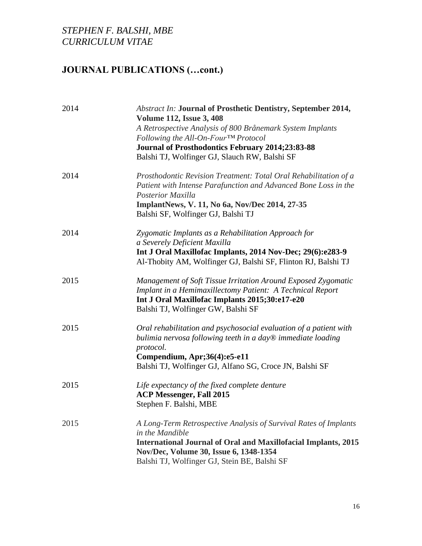| 2014 | <b>Abstract In: Journal of Prosthetic Dentistry, September 2014,</b><br><b>Volume 112, Issue 3, 408</b><br>A Retrospective Analysis of 800 Brånemark System Implants<br>Following the All-On-Four <sup>TM</sup> Protocol<br><b>Journal of Prosthodontics February 2014;23:83-88</b><br>Balshi TJ, Wolfinger GJ, Slauch RW, Balshi SF |
|------|--------------------------------------------------------------------------------------------------------------------------------------------------------------------------------------------------------------------------------------------------------------------------------------------------------------------------------------|
| 2014 | Prosthodontic Revision Treatment: Total Oral Rehabilitation of a<br>Patient with Intense Parafunction and Advanced Bone Loss in the<br><b>Posterior Maxilla</b><br>ImplantNews, V. 11, No 6a, Nov/Dec 2014, 27-35<br>Balshi SF, Wolfinger GJ, Balshi TJ                                                                              |
| 2014 | Zygomatic Implants as a Rehabilitation Approach for<br>a Severely Deficient Maxilla<br>Int J Oral Maxillofac Implants, 2014 Nov-Dec; 29(6):e283-9<br>Al-Thobity AM, Wolfinger GJ, Balshi SF, Flinton RJ, Balshi TJ                                                                                                                   |
| 2015 | Management of Soft Tissue Irritation Around Exposed Zygomatic<br>Implant in a Hemimaxillectomy Patient: A Technical Report<br>Int J Oral Maxillofac Implants 2015;30:e17-e20<br>Balshi TJ, Wolfinger GW, Balshi SF                                                                                                                   |
| 2015 | Oral rehabilitation and psychosocial evaluation of a patient with<br>bulimia nervosa following teeth in a day® immediate loading<br>protocol.<br>Compendium, Apr;36(4):e5-e11<br>Balshi TJ, Wolfinger GJ, Alfano SG, Croce JN, Balshi SF                                                                                             |
| 2015 | Life expectancy of the fixed complete denture<br><b>ACP Messenger, Fall 2015</b><br>Stephen F. Balshi, MBE                                                                                                                                                                                                                           |
| 2015 | A Long-Term Retrospective Analysis of Survival Rates of Implants<br>in the Mandible<br><b>International Journal of Oral and Maxillofacial Implants, 2015</b><br>Nov/Dec, Volume 30, Issue 6, 1348-1354<br>Balshi TJ, Wolfinger GJ, Stein BE, Balshi SF                                                                               |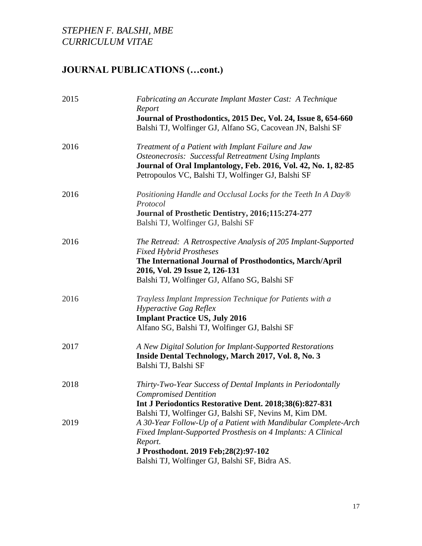| <b>Fabricating an Accurate Implant Master Cast: A Technique</b><br>Report                                                                                                                                                                                                                     |
|-----------------------------------------------------------------------------------------------------------------------------------------------------------------------------------------------------------------------------------------------------------------------------------------------|
| Journal of Prosthodontics, 2015 Dec, Vol. 24, Issue 8, 654-660<br>Balshi TJ, Wolfinger GJ, Alfano SG, Cacovean JN, Balshi SF                                                                                                                                                                  |
| Treatment of a Patient with Implant Failure and Jaw<br><b>Osteonecrosis: Successful Retreatment Using Implants</b><br>Journal of Oral Implantology, Feb. 2016, Vol. 42, No. 1, 82-85<br>Petropoulos VC, Balshi TJ, Wolfinger GJ, Balshi SF                                                    |
| Positioning Handle and Occlusal Locks for the Teeth In A Day®<br>Protocol<br>Journal of Prosthetic Dentistry, 2016;115:274-277<br>Balshi TJ, Wolfinger GJ, Balshi SF                                                                                                                          |
| The Retread: A Retrospective Analysis of 205 Implant-Supported<br><b>Fixed Hybrid Prostheses</b><br>The International Journal of Prosthodontics, March/April<br>2016, Vol. 29 Issue 2, 126-131<br>Balshi TJ, Wolfinger GJ, Alfano SG, Balshi SF                                               |
| Trayless Implant Impression Technique for Patients with a<br><b>Hyperactive Gag Reflex</b><br><b>Implant Practice US, July 2016</b><br>Alfano SG, Balshi TJ, Wolfinger GJ, Balshi SF                                                                                                          |
| A New Digital Solution for Implant-Supported Restorations<br>Inside Dental Technology, March 2017, Vol. 8, No. 3<br>Balshi TJ, Balshi SF                                                                                                                                                      |
| Thirty-Two-Year Success of Dental Implants in Periodontally<br><b>Compromised Dentition</b><br>Int J Periodontics Restorative Dent. 2018;38(6):827-831                                                                                                                                        |
| Balshi TJ, Wolfinger GJ, Balshi SF, Nevins M, Kim DM.<br>A 30-Year Follow-Up of a Patient with Mandibular Complete-Arch<br>Fixed Implant-Supported Prosthesis on 4 Implants: A Clinical<br>Report.<br>J Prosthodont. 2019 Feb; 28(2): 97-102<br>Balshi TJ, Wolfinger GJ, Balshi SF, Bidra AS. |
|                                                                                                                                                                                                                                                                                               |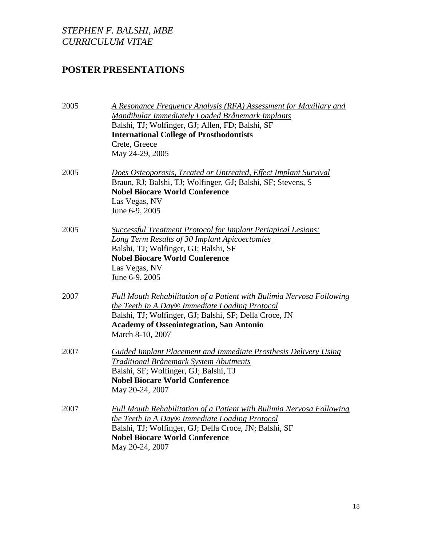# **POSTER PRESENTATIONS**

| 2005 | A Resonance Frequency Analysis (RFA) Assessment for Maxillary and<br>Mandibular Immediately Loaded Brånemark Implants<br>Balshi, TJ; Wolfinger, GJ; Allen, FD; Balshi, SF<br><b>International College of Prosthodontists</b><br>Crete, Greece<br>May 24-29, 2005 |
|------|------------------------------------------------------------------------------------------------------------------------------------------------------------------------------------------------------------------------------------------------------------------|
| 2005 | Does Osteoporosis, Treated or Untreated, Effect Implant Survival<br>Braun, RJ; Balshi, TJ; Wolfinger, GJ; Balshi, SF; Stevens, S<br><b>Nobel Biocare World Conference</b><br>Las Vegas, NV<br>June 6-9, 2005                                                     |
| 2005 | <b>Successful Treatment Protocol for Implant Periapical Lesions:</b><br><b>Long Term Results of 30 Implant Apicoectomies</b><br>Balshi, TJ; Wolfinger, GJ; Balshi, SF<br><b>Nobel Biocare World Conference</b><br>Las Vegas, NV<br>June 6-9, 2005                |
| 2007 | <b>Full Mouth Rehabilitation of a Patient with Bulimia Nervosa Following</b><br>the Teeth In A Day® Immediate Loading Protocol<br>Balshi, TJ; Wolfinger, GJ; Balshi, SF; Della Croce, JN<br><b>Academy of Osseointegration, San Antonio</b><br>March 8-10, 2007  |
| 2007 | Guided Implant Placement and Immediate Prosthesis Delivery Using<br>Traditional Brånemark System Abutments<br>Balshi, SF; Wolfinger, GJ; Balshi, TJ<br><b>Nobel Biocare World Conference</b><br>May 20-24, 2007                                                  |
| 2007 | Full Mouth Rehabilitation of a Patient with Bulimia Nervosa Following<br>the Teeth In A Day® Immediate Loading Protocol<br>Balshi, TJ; Wolfinger, GJ; Della Croce, JN; Balshi, SF<br><b>Nobel Biocare World Conference</b><br>May 20-24, 2007                    |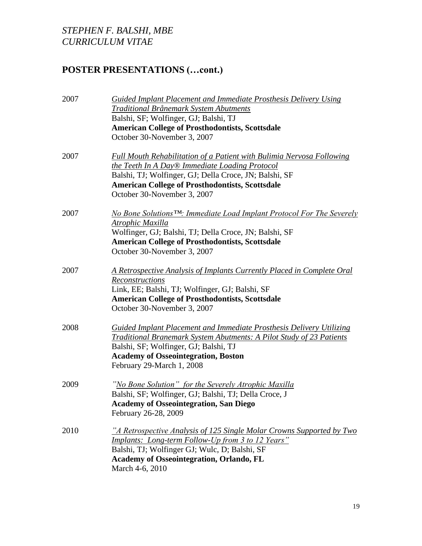# **POSTER PRESENTATIONS (…cont.)**

| 2007 | <b>Guided Implant Placement and Immediate Prosthesis Delivery Using</b>            |
|------|------------------------------------------------------------------------------------|
|      | <b>Traditional Brånemark System Abutments</b>                                      |
|      | Balshi, SF; Wolfinger, GJ; Balshi, TJ                                              |
|      | <b>American College of Prosthodontists, Scottsdale</b>                             |
|      | October 30-November 3, 2007                                                        |
| 2007 | <b>Full Mouth Rehabilitation of a Patient with Bulimia Nervosa Following</b>       |
|      | the Teeth In A Day® Immediate Loading Protocol                                     |
|      | Balshi, TJ; Wolfinger, GJ; Della Croce, JN; Balshi, SF                             |
|      | <b>American College of Prosthodontists, Scottsdale</b>                             |
|      | October 30-November 3, 2007                                                        |
| 2007 | No Bone Solutions <sup>TM</sup> : Immediate Load Implant Protocol For The Severely |
|      | <u> Atrophic Maxilla</u>                                                           |
|      | Wolfinger, GJ; Balshi, TJ; Della Croce, JN; Balshi, SF                             |
|      | <b>American College of Prosthodontists, Scottsdale</b>                             |
|      | October 30-November 3, 2007                                                        |
| 2007 | A Retrospective Analysis of Implants Currently Placed in Complete Oral             |
|      | Reconstructions                                                                    |
|      | Link, EE; Balshi, TJ; Wolfinger, GJ; Balshi, SF                                    |
|      | <b>American College of Prosthodontists, Scottsdale</b>                             |
|      | October 30-November 3, 2007                                                        |
| 2008 | Guided Implant Placement and Immediate Prosthesis Delivery Utilizing               |
|      | Traditional Branemark System Abutments: A Pilot Study of 23 Patients               |
|      | Balshi, SF; Wolfinger, GJ; Balshi, TJ                                              |
|      | <b>Academy of Osseointegration, Boston</b>                                         |
|      | February 29-March 1, 2008                                                          |
| 2009 | "No Bone Solution" for the Severely Atrophic Maxilla                               |
|      | Balshi, SF; Wolfinger, GJ; Balshi, TJ; Della Croce, J                              |
|      | <b>Academy of Osseointegration, San Diego</b>                                      |
|      | February 26-28, 2009                                                               |
| 2010 | "A Retrospective Analysis of 125 Single Molar Crowns Supported by Two              |
|      | <u><b>Implants:</b> Long-term Follow-Up from 3 to 12 Years"</u>                    |
|      | Balshi, TJ; Wolfinger GJ; Wulc, D; Balshi, SF                                      |
|      | <b>Academy of Osseointegration, Orlando, FL</b>                                    |
|      | March 4-6, 2010                                                                    |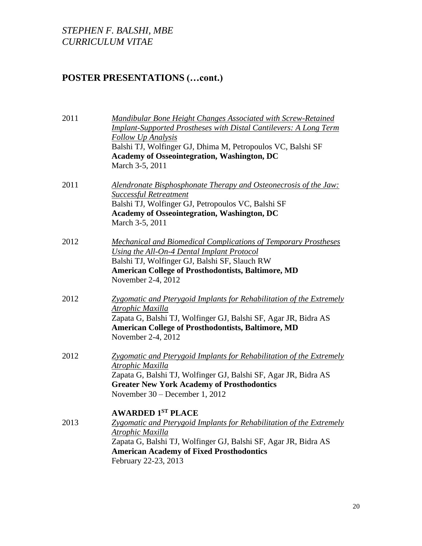# **POSTER PRESENTATIONS (…cont.)**

| 2011 | <b>Mandibular Bone Height Changes Associated with Screw-Retained</b><br><b>Implant-Supported Prostheses with Distal Cantilevers: A Long Term</b><br><b>Follow Up Analysis</b><br>Balshi TJ, Wolfinger GJ, Dhima M, Petropoulos VC, Balshi SF<br><b>Academy of Osseointegration, Washington, DC</b><br>March 3-5, 2011 |
|------|-----------------------------------------------------------------------------------------------------------------------------------------------------------------------------------------------------------------------------------------------------------------------------------------------------------------------|
| 2011 | Alendronate Bisphosphonate Therapy and Osteonecrosis of the Jaw:<br><b>Successful Retreatment</b><br>Balshi TJ, Wolfinger GJ, Petropoulos VC, Balshi SF<br><b>Academy of Osseointegration, Washington, DC</b><br>March 3-5, 2011                                                                                      |
| 2012 | <b>Mechanical and Biomedical Complications of Temporary Prostheses</b><br>Using the All-On-4 Dental Implant Protocol<br>Balshi TJ, Wolfinger GJ, Balshi SF, Slauch RW<br><b>American College of Prosthodontists, Baltimore, MD</b><br>November 2-4, 2012                                                              |
| 2012 | Zygomatic and Pterygoid Implants for Rehabilitation of the Extremely<br>Atrophic Maxilla<br>Zapata G, Balshi TJ, Wolfinger GJ, Balshi SF, Agar JR, Bidra AS<br><b>American College of Prosthodontists, Baltimore, MD</b><br>November 2-4, 2012                                                                        |
| 2012 | <b>Zygomatic and Pterygoid Implants for Rehabilitation of the Extremely</b><br><b>Atrophic Maxilla</b><br>Zapata G, Balshi TJ, Wolfinger GJ, Balshi SF, Agar JR, Bidra AS<br><b>Greater New York Academy of Prosthodontics</b><br>November 30 – December 1, 2012                                                      |
| 2013 | <b>AWARDED 1ST PLACE</b><br>Zygomatic and Pterygoid Implants for Rehabilitation of the Extremely<br>Atrophic Maxilla<br>Zapata G, Balshi TJ, Wolfinger GJ, Balshi SF, Agar JR, Bidra AS<br><b>American Academy of Fixed Prosthodontics</b><br>February 22-23, 2013                                                    |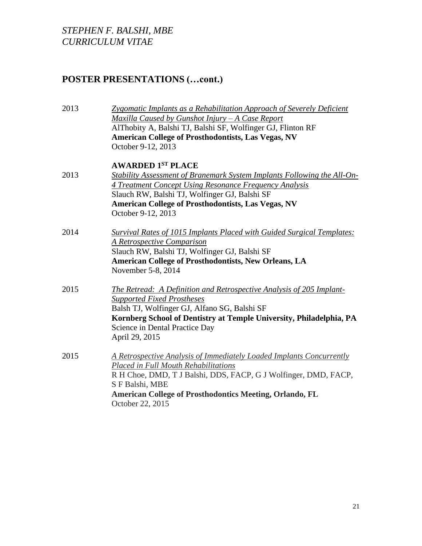# **POSTER PRESENTATIONS (…cont.)**

| 2013 | <b>Zygomatic Implants as a Rehabilitation Approach of Severely Deficient</b><br>Maxilla Caused by Gunshot Injury $-A$ Case Report<br>AlThobity A, Balshi TJ, Balshi SF, Wolfinger GJ, Flinton RF<br><b>American College of Prosthodontists, Las Vegas, NV</b><br>October 9-12, 2013 |
|------|-------------------------------------------------------------------------------------------------------------------------------------------------------------------------------------------------------------------------------------------------------------------------------------|
|      | <b>AWARDED 1ST PLACE</b>                                                                                                                                                                                                                                                            |
| 2013 | Stability Assessment of Branemark System Implants Following the All-On-<br>4 Treatment Concept Using Resonance Frequency Analysis                                                                                                                                                   |
|      | Slauch RW, Balshi TJ, Wolfinger GJ, Balshi SF                                                                                                                                                                                                                                       |
|      | <b>American College of Prosthodontists, Las Vegas, NV</b>                                                                                                                                                                                                                           |
|      | October 9-12, 2013                                                                                                                                                                                                                                                                  |
| 2014 | <b>Survival Rates of 1015 Implants Placed with Guided Surgical Templates:</b>                                                                                                                                                                                                       |
|      | <b>A Retrospective Comparison</b>                                                                                                                                                                                                                                                   |
|      | Slauch RW, Balshi TJ, Wolfinger GJ, Balshi SF                                                                                                                                                                                                                                       |
|      | <b>American College of Prosthodontists, New Orleans, LA</b><br>November 5-8, 2014                                                                                                                                                                                                   |
| 2015 | <b>The Retread:</b> A Definition and Retrospective Analysis of 205 Implant-<br><b>Supported Fixed Prostheses</b>                                                                                                                                                                    |
|      | Balsh TJ, Wolfinger GJ, Alfano SG, Balshi SF                                                                                                                                                                                                                                        |
|      | Kornberg School of Dentistry at Temple University, Philadelphia, PA                                                                                                                                                                                                                 |
|      | Science in Dental Practice Day<br>April 29, 2015                                                                                                                                                                                                                                    |
| 2015 | A Retrospective Analysis of Immediately Loaded Implants Concurrently<br><b>Placed in Full Mouth Rehabilitations</b><br>R H Choe, DMD, T J Balshi, DDS, FACP, G J Wolfinger, DMD, FACP,                                                                                              |
|      | S F Balshi, MBE<br><b>American College of Prosthodontics Meeting, Orlando, FL</b><br>October 22, 2015                                                                                                                                                                               |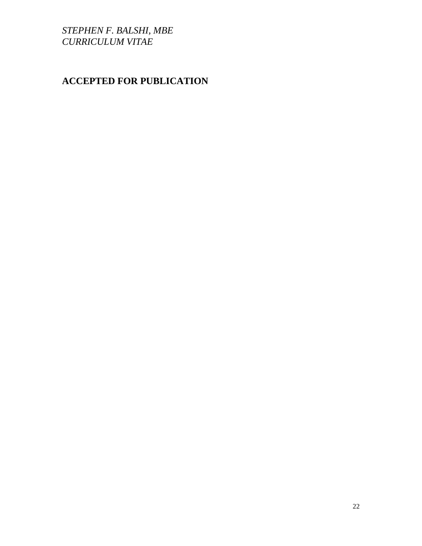# **ACCEPTED FOR PUBLICATION**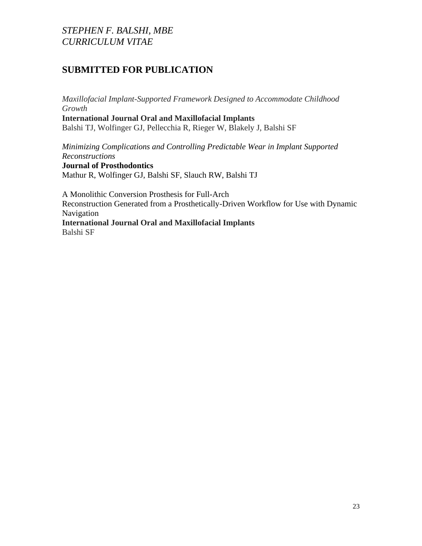# **SUBMITTED FOR PUBLICATION**

*Maxillofacial Implant-Supported Framework Designed to Accommodate Childhood Growth*

**International Journal Oral and Maxillofacial Implants** Balshi TJ, Wolfinger GJ, Pellecchia R, Rieger W, Blakely J, Balshi SF

*Minimizing Complications and Controlling Predictable Wear in Implant Supported Reconstructions*

**Journal of Prosthodontics** Mathur R, Wolfinger GJ, Balshi SF, Slauch RW, Balshi TJ

A Monolithic Conversion Prosthesis for Full-Arch

Reconstruction Generated from a Prosthetically-Driven Workflow for Use with Dynamic Navigation

**International Journal Oral and Maxillofacial Implants** Balshi SF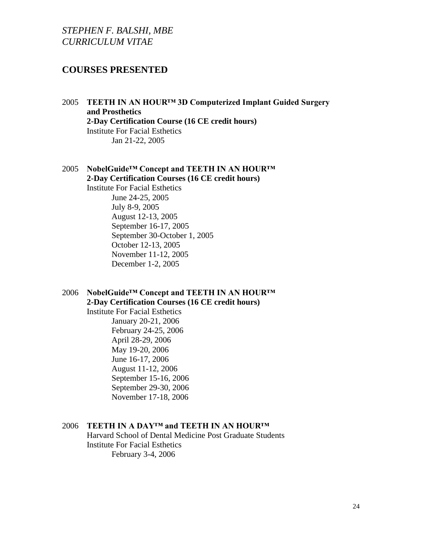## **COURSES PRESENTED**

- 2005 **TEETH IN AN HOUR™ 3D Computerized Implant Guided Surgery and Prosthetics 2-Day Certification Course (16 CE credit hours)** Institute For Facial Esthetics Jan 21-22, 2005
- 2005 **NobelGuide™ Concept and TEETH IN AN HOUR™ 2-Day Certification Courses (16 CE credit hours)** Institute For Facial Esthetics

June 24-25, 2005 July 8-9, 2005 August 12-13, 2005 September 16-17, 2005 September 30-October 1, 2005 October 12-13, 2005 November 11-12, 2005 December 1-2, 2005

### 2006 **NobelGuide™ Concept and TEETH IN AN HOUR™ 2-Day Certification Courses (16 CE credit hours)**

Institute For Facial Esthetics January 20-21, 2006 February 24-25, 2006 April 28-29, 2006 May 19-20, 2006 June 16-17, 2006 August 11-12, 2006 September 15-16, 2006 September 29-30, 2006 November 17-18, 2006

### 2006 **TEETH IN A DAY™ and TEETH IN AN HOUR™**

Harvard School of Dental Medicine Post Graduate Students Institute For Facial Esthetics February 3-4, 2006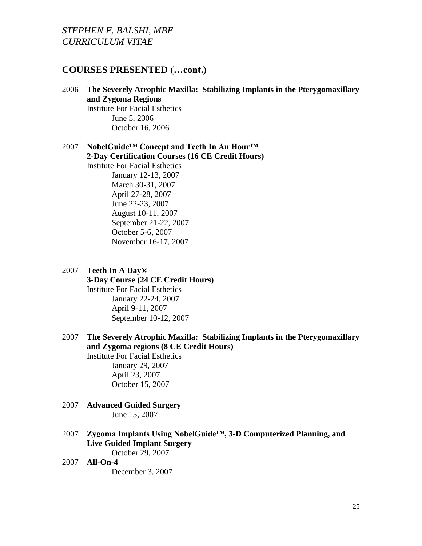### **COURSES PRESENTED (…cont.)**

2006 **The Severely Atrophic Maxilla: Stabilizing Implants in the Pterygomaxillary and Zygoma Regions** Institute For Facial Esthetics June 5, 2006 October 16, 2006

2007 **NobelGuide™ Concept and Teeth In An Hour™ 2-Day Certification Courses (16 CE Credit Hours)** Institute For Facial Esthetics January 12-13, 2007 March 30-31, 2007 April 27-28, 2007 June 22-23, 2007 August 10-11, 2007 September 21-22, 2007 October 5-6, 2007 November 16-17, 2007

- 2007 **Teeth In A Day® 3-Day Course (24 CE Credit Hours)** Institute For Facial Esthetics January 22-24, 2007 April 9-11, 2007 September 10-12, 2007
- 2007 **The Severely Atrophic Maxilla: Stabilizing Implants in the Pterygomaxillary and Zygoma regions (8 CE Credit Hours)**

Institute For Facial Esthetics January 29, 2007 April 23, 2007 October 15, 2007

- 2007 **Advanced Guided Surgery** June 15, 2007
- 2007 **Zygoma Implants Using NobelGuide™, 3-D Computerized Planning, and Live Guided Implant Surgery** October 29, 2007
- 2007 **All-On-4**

December 3, 2007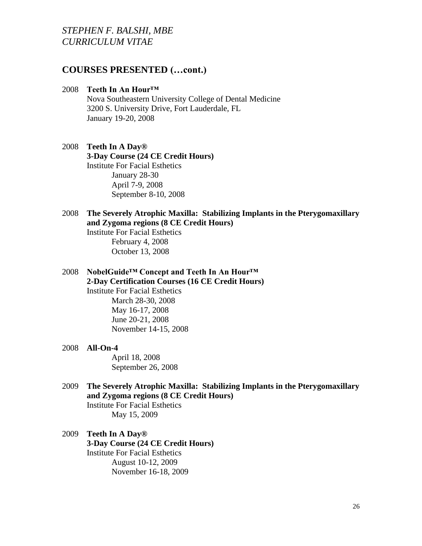## **COURSES PRESENTED (…cont.)**

#### 2008 **Teeth In An Hour™**

Nova Southeastern University College of Dental Medicine 3200 S. University Drive, Fort Lauderdale, FL January 19-20, 2008

### 2008 **Teeth In A Day® 3-Day Course (24 CE Credit Hours)** Institute For Facial Esthetics January 28-30 April 7-9, 2008 September 8-10, 2008

### 2008 **The Severely Atrophic Maxilla: Stabilizing Implants in the Pterygomaxillary and Zygoma regions (8 CE Credit Hours)**

Institute For Facial Esthetics February 4, 2008 October 13, 2008

2008 **NobelGuide™ Concept and Teeth In An Hour™ 2-Day Certification Courses (16 CE Credit Hours)** Institute For Facial Esthetics March 28-30, 2008 May 16-17, 2008 June 20-21, 2008

#### 2008 **All-On-4**

April 18, 2008 September 26, 2008

November 14-15, 2008

- 2009 **The Severely Atrophic Maxilla: Stabilizing Implants in the Pterygomaxillary and Zygoma regions (8 CE Credit Hours)** Institute For Facial Esthetics May 15, 2009
- 2009 **Teeth In A Day® 3-Day Course (24 CE Credit Hours)** Institute For Facial Esthetics August 10-12, 2009 November 16-18, 2009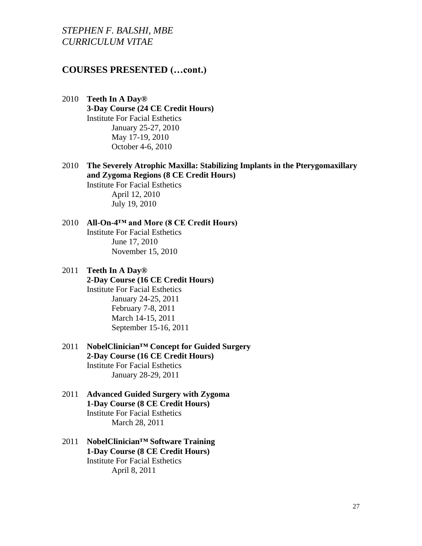## **COURSES PRESENTED (…cont.)**

- 2010 **Teeth In A Day® 3-Day Course (24 CE Credit Hours)** Institute For Facial Esthetics January 25-27, 2010 May 17-19, 2010 October 4-6, 2010
- 2010 **The Severely Atrophic Maxilla: Stabilizing Implants in the Pterygomaxillary and Zygoma Regions (8 CE Credit Hours)**

Institute For Facial Esthetics April 12, 2010 July 19, 2010

#### 2010 **All-On-4™ and More (8 CE Credit Hours)** Institute For Facial Esthetics June 17, 2010 November 15, 2010

### 2011 **Teeth In A Day® 2-Day Course (16 CE Credit Hours)** Institute For Facial Esthetics January 24-25, 2011 February 7-8, 2011 March 14-15, 2011 September 15-16, 2011

- 2011 **NobelClinician™ Concept for Guided Surgery 2-Day Course (16 CE Credit Hours)** Institute For Facial Esthetics January 28-29, 2011
- 2011 **Advanced Guided Surgery with Zygoma 1-Day Course (8 CE Credit Hours)** Institute For Facial Esthetics March 28, 2011
- 2011 **NobelClinician™ Software Training 1-Day Course (8 CE Credit Hours)** Institute For Facial Esthetics April 8, 2011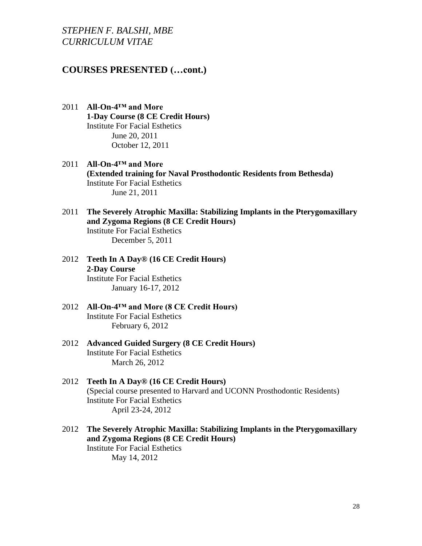## **COURSES PRESENTED (…cont.)**

- 2011 **All-On-4™ and More 1-Day Course (8 CE Credit Hours)** Institute For Facial Esthetics June 20, 2011 October 12, 2011
- 2011 **All-On-4™ and More (Extended training for Naval Prosthodontic Residents from Bethesda)** Institute For Facial Esthetics June 21, 2011
- 2011 **The Severely Atrophic Maxilla: Stabilizing Implants in the Pterygomaxillary and Zygoma Regions (8 CE Credit Hours)** Institute For Facial Esthetics

December 5, 2011

- 2012 **Teeth In A Day® (16 CE Credit Hours) 2-Day Course** Institute For Facial Esthetics January 16-17, 2012
- 2012 **All-On-4™ and More (8 CE Credit Hours)** Institute For Facial Esthetics February 6, 2012
- 2012 **Advanced Guided Surgery (8 CE Credit Hours)** Institute For Facial Esthetics March 26, 2012
- 2012 **Teeth In A Day® (16 CE Credit Hours)** (Special course presented to Harvard and UCONN Prosthodontic Residents) Institute For Facial Esthetics April 23-24, 2012
- 2012 **The Severely Atrophic Maxilla: Stabilizing Implants in the Pterygomaxillary and Zygoma Regions (8 CE Credit Hours)** Institute For Facial Esthetics May 14, 2012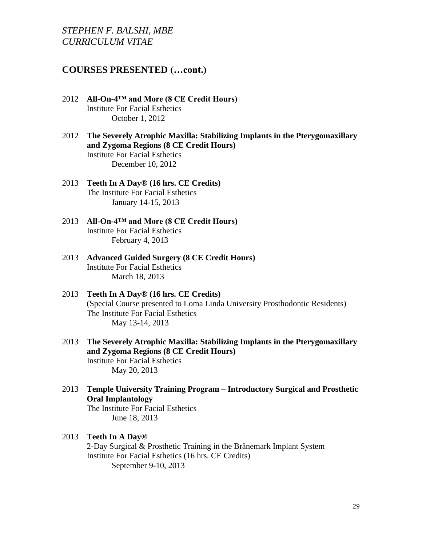## **COURSES PRESENTED (…cont.)**

- 2012 **All-On-4™ and More (8 CE Credit Hours)** Institute For Facial Esthetics October 1, 2012
- 2012 **The Severely Atrophic Maxilla: Stabilizing Implants in the Pterygomaxillary and Zygoma Regions (8 CE Credit Hours)** Institute For Facial Esthetics December 10, 2012
- 2013 **Teeth In A Day® (16 hrs. CE Credits)** The Institute For Facial Esthetics January 14-15, 2013
- 2013 **All-On-4™ and More (8 CE Credit Hours)** Institute For Facial Esthetics February 4, 2013
- 2013 **Advanced Guided Surgery (8 CE Credit Hours)** Institute For Facial Esthetics March 18, 2013
- 2013 **Teeth In A Day® (16 hrs. CE Credits)** (Special Course presented to Loma Linda University Prosthodontic Residents) The Institute For Facial Esthetics May 13-14, 2013
- 2013 **The Severely Atrophic Maxilla: Stabilizing Implants in the Pterygomaxillary and Zygoma Regions (8 CE Credit Hours)** Institute For Facial Esthetics May 20, 2013
- 2013 **Temple University Training Program – Introductory Surgical and Prosthetic Oral Implantology** The Institute For Facial Esthetics June 18, 2013

# 2013 **Teeth In A Day®**

2-Day Surgical & Prosthetic Training in the Brånemark Implant System Institute For Facial Esthetics (16 hrs. CE Credits) September 9-10, 2013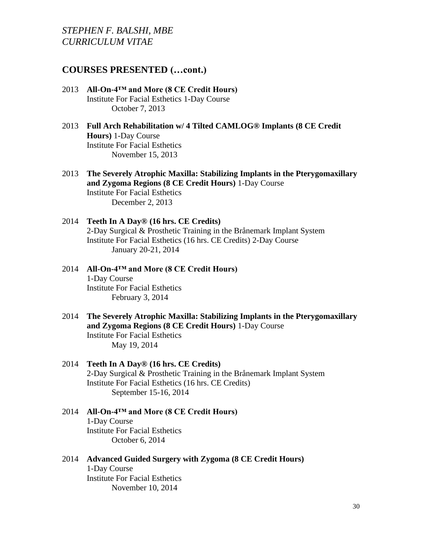## **COURSES PRESENTED (…cont.)**

- 2013 **All-On-4™ and More (8 CE Credit Hours)** Institute For Facial Esthetics 1-Day Course October 7, 2013
- 2013 **Full Arch Rehabilitation w/ 4 Tilted CAMLOG® Implants (8 CE Credit Hours)** 1-Day Course Institute For Facial Esthetics November 15, 2013
- 2013 **The Severely Atrophic Maxilla: Stabilizing Implants in the Pterygomaxillary and Zygoma Regions (8 CE Credit Hours)** 1-Day Course Institute For Facial Esthetics December 2, 2013
- 2014 **Teeth In A Day® (16 hrs. CE Credits)** 2-Day Surgical & Prosthetic Training in the Brånemark Implant System Institute For Facial Esthetics (16 hrs. CE Credits) 2-Day Course January 20-21, 2014
- 2014 **All-On-4™ and More (8 CE Credit Hours)** 1-Day Course Institute For Facial Esthetics February 3, 2014
- 2014 **The Severely Atrophic Maxilla: Stabilizing Implants in the Pterygomaxillary and Zygoma Regions (8 CE Credit Hours)** 1-Day Course Institute For Facial Esthetics May 19, 2014

### 2014 **Teeth In A Day® (16 hrs. CE Credits)** 2-Day Surgical & Prosthetic Training in the Brånemark Implant System Institute For Facial Esthetics (16 hrs. CE Credits) September 15-16, 2014

2014 **All-On-4™ and More (8 CE Credit Hours)** 1-Day Course Institute For Facial Esthetics October 6, 2014

### 2014 **Advanced Guided Surgery with Zygoma (8 CE Credit Hours)** 1-Day Course Institute For Facial Esthetics November 10, 2014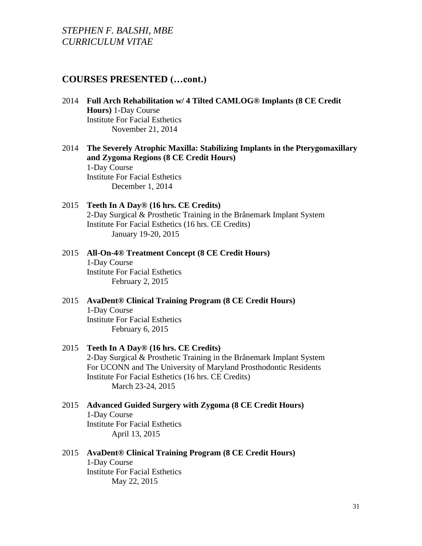## **COURSES PRESENTED (…cont.)**

- 2014 **Full Arch Rehabilitation w/ 4 Tilted CAMLOG® Implants (8 CE Credit Hours)** 1-Day Course Institute For Facial Esthetics November 21, 2014
- 2014 **The Severely Atrophic Maxilla: Stabilizing Implants in the Pterygomaxillary and Zygoma Regions (8 CE Credit Hours)** 1-Day Course Institute For Facial Esthetics December 1, 2014
- 2015 **Teeth In A Day® (16 hrs. CE Credits)** 2-Day Surgical & Prosthetic Training in the Brånemark Implant System Institute For Facial Esthetics (16 hrs. CE Credits) January 19-20, 2015
- 2015 **All-On-4® Treatment Concept (8 CE Credit Hours)** 1-Day Course Institute For Facial Esthetics February 2, 2015
- 2015 **AvaDent® Clinical Training Program (8 CE Credit Hours)** 1-Day Course Institute For Facial Esthetics February 6, 2015
- 2015 **Teeth In A Day® (16 hrs. CE Credits)** 2-Day Surgical & Prosthetic Training in the Brånemark Implant System For UCONN and The University of Maryland Prosthodontic Residents Institute For Facial Esthetics (16 hrs. CE Credits) March 23-24, 2015
- 2015 **Advanced Guided Surgery with Zygoma (8 CE Credit Hours)** 1-Day Course Institute For Facial Esthetics April 13, 2015
- 2015 **AvaDent® Clinical Training Program (8 CE Credit Hours)** 1-Day Course Institute For Facial Esthetics May 22, 2015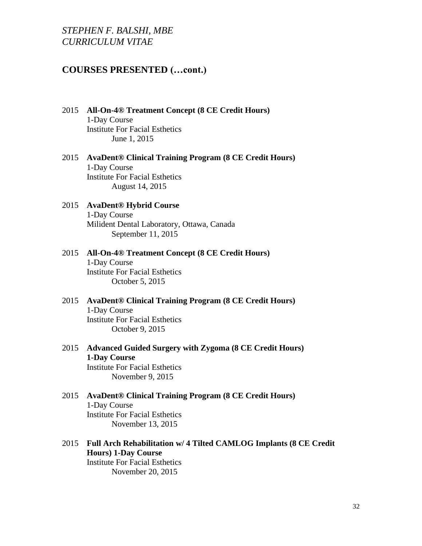## **COURSES PRESENTED (…cont.)**

- 2015 **All-On-4® Treatment Concept (8 CE Credit Hours)** 1-Day Course Institute For Facial Esthetics June 1, 2015
- 2015 **AvaDent® Clinical Training Program (8 CE Credit Hours)** 1-Day Course Institute For Facial Esthetics August 14, 2015
- 2015 **AvaDent® Hybrid Course** 1-Day Course Milident Dental Laboratory, Ottawa, Canada September 11, 2015
- 2015 **All-On-4® Treatment Concept (8 CE Credit Hours)** 1-Day Course Institute For Facial Esthetics October 5, 2015
- 2015 **AvaDent® Clinical Training Program (8 CE Credit Hours)** 1-Day Course Institute For Facial Esthetics October 9, 2015
- 2015 **Advanced Guided Surgery with Zygoma (8 CE Credit Hours) 1-Day Course**  Institute For Facial Esthetics November 9, 2015
- 2015 **AvaDent® Clinical Training Program (8 CE Credit Hours)** 1-Day Course Institute For Facial Esthetics November 13, 2015
- 2015 **Full Arch Rehabilitation w/ 4 Tilted CAMLOG Implants (8 CE Credit Hours) 1-Day Course** Institute For Facial Esthetics November 20, 2015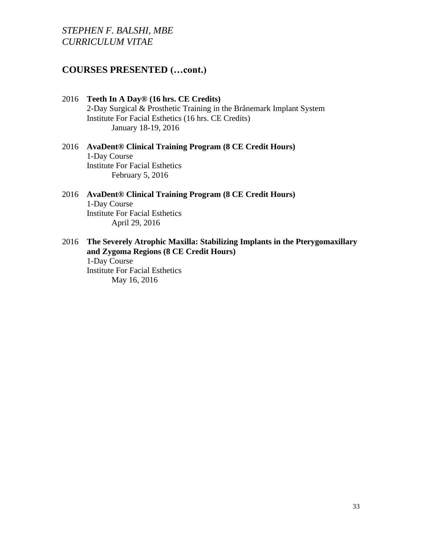# **COURSES PRESENTED (…cont.)**

- 2016 **Teeth In A Day® (16 hrs. CE Credits)** 2-Day Surgical & Prosthetic Training in the Brånemark Implant System Institute For Facial Esthetics (16 hrs. CE Credits) January 18-19, 2016
- 2016 **AvaDent® Clinical Training Program (8 CE Credit Hours)** 1-Day Course Institute For Facial Esthetics February 5, 2016
- 2016 **AvaDent® Clinical Training Program (8 CE Credit Hours)** 1-Day Course Institute For Facial Esthetics April 29, 2016
- 2016 **The Severely Atrophic Maxilla: Stabilizing Implants in the Pterygomaxillary and Zygoma Regions (8 CE Credit Hours)**

1-Day Course Institute For Facial Esthetics May 16, 2016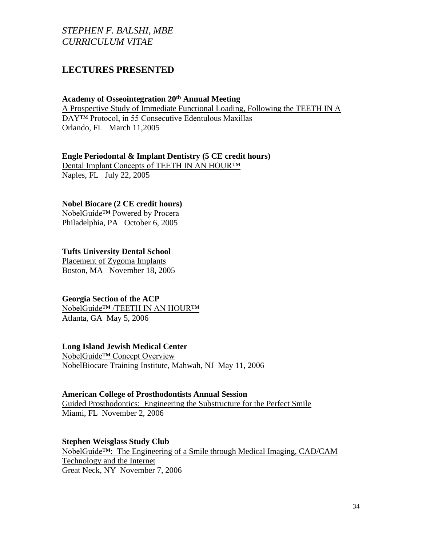# **LECTURES PRESENTED**

### **Academy of Osseointegration 20th Annual Meeting**

A Prospective Study of Immediate Functional Loading, Following the TEETH IN A DAY™ Protocol, in 55 Consecutive Edentulous Maxillas Orlando, FL March 11,2005

### **Engle Periodontal & Implant Dentistry (5 CE credit hours)**

Dental Implant Concepts of TEETH IN AN HOUR™ Naples, FL July 22, 2005

### **Nobel Biocare (2 CE credit hours)**

NobelGuide™ Powered by Procera Philadelphia, PA October 6, 2005

### **Tufts University Dental School**

Placement of Zygoma Implants Boston, MA November 18, 2005

### **Georgia Section of the ACP**

NobelGuide™ /TEETH IN AN HOUR™ Atlanta, GA May 5, 2006

### **Long Island Jewish Medical Center**

NobelGuide™ Concept Overview NobelBiocare Training Institute, Mahwah, NJ May 11, 2006

#### **American College of Prosthodontists Annual Session**

Guided Prosthodontics: Engineering the Substructure for the Perfect Smile Miami, FL November 2, 2006

### **Stephen Weisglass Study Club**

NobelGuide<sup>™</sup>: The Engineering of a Smile through Medical Imaging, CAD/CAM Technology and the Internet Great Neck, NY November 7, 2006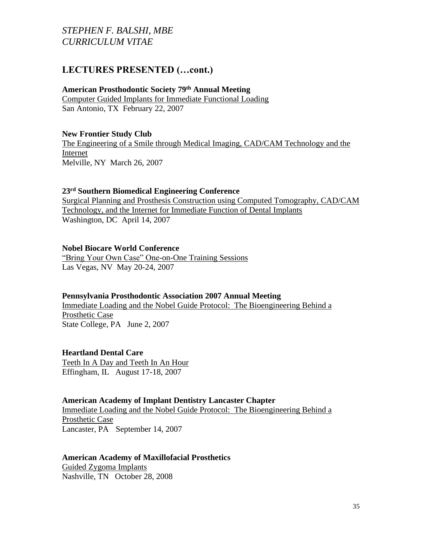## **LECTURES PRESENTED (…cont.)**

### **American Prosthodontic Society 79th Annual Meeting**

Computer Guided Implants for Immediate Functional Loading San Antonio, TX February 22, 2007

### **New Frontier Study Club**

The Engineering of a Smile through Medical Imaging, CAD/CAM Technology and the Internet Melville, NY March 26, 2007

### **23rd Southern Biomedical Engineering Conference**

Surgical Planning and Prosthesis Construction using Computed Tomography, CAD/CAM Technology, and the Internet for Immediate Function of Dental Implants Washington, DC April 14, 2007

### **Nobel Biocare World Conference**

"Bring Your Own Case" One-on-One Training Sessions Las Vegas, NV May 20-24, 2007

#### **Pennsylvania Prosthodontic Association 2007 Annual Meeting**

Immediate Loading and the Nobel Guide Protocol: The Bioengineering Behind a Prosthetic Case State College, PA June 2, 2007

### **Heartland Dental Care**

Teeth In A Day and Teeth In An Hour Effingham, IL August 17-18, 2007

#### **American Academy of Implant Dentistry Lancaster Chapter**

Immediate Loading and the Nobel Guide Protocol: The Bioengineering Behind a Prosthetic Case Lancaster, PA September 14, 2007

### **American Academy of Maxillofacial Prosthetics**

Guided Zygoma Implants Nashville, TN October 28, 2008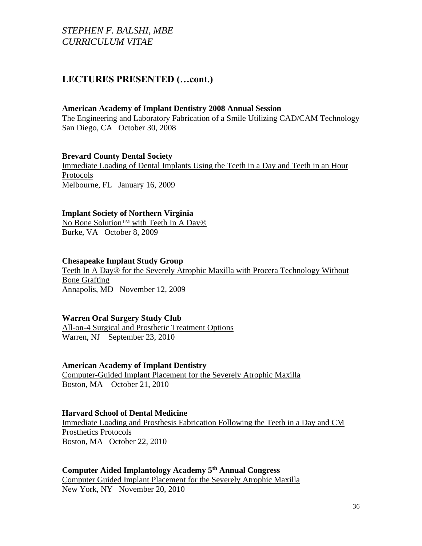## **LECTURES PRESENTED (…cont.)**

#### **American Academy of Implant Dentistry 2008 Annual Session**

The Engineering and Laboratory Fabrication of a Smile Utilizing CAD/CAM Technology San Diego, CA October 30, 2008

#### **Brevard County Dental Society**

Immediate Loading of Dental Implants Using the Teeth in a Day and Teeth in an Hour Protocols Melbourne, FL January 16, 2009

#### **Implant Society of Northern Virginia**

No Bone Solution™ with Teeth In A Day<sup>®</sup> Burke, VA October 8, 2009

#### **Chesapeake Implant Study Group**

Teeth In A Day® for the Severely Atrophic Maxilla with Procera Technology Without Bone Grafting Annapolis, MD November 12, 2009

### **Warren Oral Surgery Study Club**

All-on-4 Surgical and Prosthetic Treatment Options Warren, NJ September 23, 2010

#### **American Academy of Implant Dentistry**

Computer-Guided Implant Placement for the Severely Atrophic Maxilla Boston, MA October 21, 2010

#### **Harvard School of Dental Medicine**

Immediate Loading and Prosthesis Fabrication Following the Teeth in a Day and CM Prosthetics Protocols Boston, MA October 22, 2010

### **Computer Aided Implantology Academy 5th Annual Congress**

Computer Guided Implant Placement for the Severely Atrophic Maxilla New York, NY November 20, 2010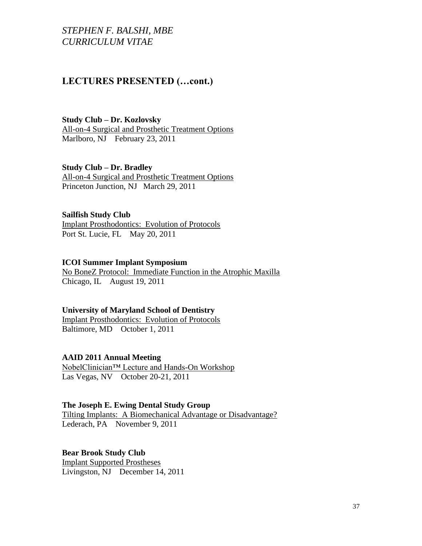# **LECTURES PRESENTED (…cont.)**

**Study Club – Dr. Kozlovsky** All-on-4 Surgical and Prosthetic Treatment Options Marlboro, NJ February 23, 2011

**Study Club – Dr. Bradley** All-on-4 Surgical and Prosthetic Treatment Options Princeton Junction, NJ March 29, 2011

#### **Sailfish Study Club**

Implant Prosthodontics: Evolution of Protocols Port St. Lucie, FL May 20, 2011

#### **ICOI Summer Implant Symposium**

No BoneZ Protocol: Immediate Function in the Atrophic Maxilla Chicago, IL August 19, 2011

#### **University of Maryland School of Dentistry**

Implant Prosthodontics: Evolution of Protocols Baltimore, MD October 1, 2011

### **AAID 2011 Annual Meeting**

NobelClinician™ Lecture and Hands-On Workshop Las Vegas, NV October 20-21, 2011

#### **The Joseph E. Ewing Dental Study Group**

Tilting Implants: A Biomechanical Advantage or Disadvantage? Lederach, PA November 9, 2011

### **Bear Brook Study Club**

Implant Supported Prostheses Livingston, NJ December 14, 2011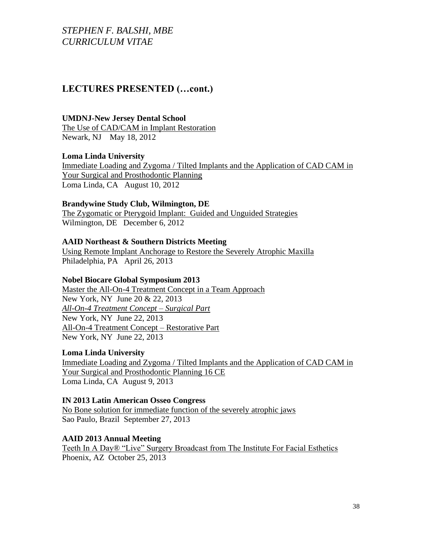# **LECTURES PRESENTED (…cont.)**

#### **UMDNJ-New Jersey Dental School**

The Use of CAD/CAM in Implant Restoration Newark, NJ May 18, 2012

### **Loma Linda University**

Immediate Loading and Zygoma / Tilted Implants and the Application of CAD CAM in Your Surgical and Prosthodontic Planning Loma Linda, CA August 10, 2012

### **Brandywine Study Club, Wilmington, DE**

The Zygomatic or Pterygoid Implant: Guided and Unguided Strategies Wilmington, DE December 6, 2012

### **AAID Northeast & Southern Districts Meeting**

Using Remote Implant Anchorage to Restore the Severely Atrophic Maxilla Philadelphia, PA April 26, 2013

### **Nobel Biocare Global Symposium 2013**

Master the All-On-4 Treatment Concept in a Team Approach New York, NY June 20 & 22, 2013 *All-On-4 Treatment Concept – Surgical Part* New York, NY June 22, 2013 All-On-4 Treatment Concept – Restorative Part New York, NY June 22, 2013

### **Loma Linda University**

Immediate Loading and Zygoma / Tilted Implants and the Application of CAD CAM in Your Surgical and Prosthodontic Planning 16 CE Loma Linda, CA August 9, 2013

### **IN 2013 Latin American Osseo Congress**

No Bone solution for immediate function of the severely atrophic jaws Sao Paulo, Brazil September 27, 2013

### **AAID 2013 Annual Meeting**

Teeth In A Day® "Live" Surgery Broadcast from The Institute For Facial Esthetics Phoenix, AZ October 25, 2013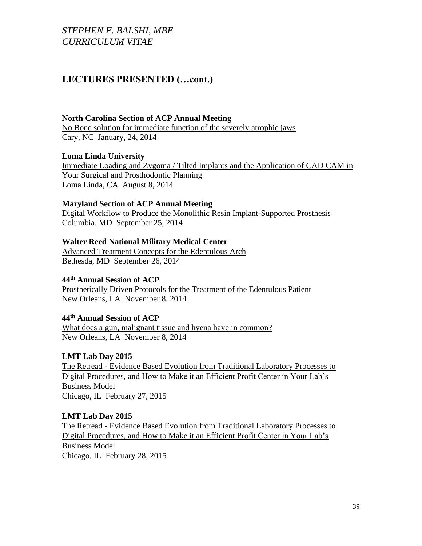## **LECTURES PRESENTED (…cont.)**

#### **North Carolina Section of ACP Annual Meeting**

No Bone solution for immediate function of the severely atrophic jaws Cary, NC January, 24, 2014

### **Loma Linda University**

Immediate Loading and Zygoma / Tilted Implants and the Application of CAD CAM in Your Surgical and Prosthodontic Planning Loma Linda, CA August 8, 2014

#### **Maryland Section of ACP Annual Meeting**

Digital Workflow to Produce the Monolithic Resin Implant-Supported Prosthesis Columbia, MD September 25, 2014

### **Walter Reed National Military Medical Center**

Advanced Treatment Concepts for the Edentulous Arch Bethesda, MD September 26, 2014

### **44th Annual Session of ACP**

Prosthetically Driven Protocols for the Treatment of the Edentulous Patient New Orleans, LA November 8, 2014

### **44th Annual Session of ACP**

What does a gun, malignant tissue and hyena have in common? New Orleans, LA November 8, 2014

### **LMT Lab Day 2015**

The Retread - Evidence Based Evolution from Traditional Laboratory Processes to Digital Procedures, and How to Make it an Efficient Profit Center in Your Lab's Business Model Chicago, IL February 27, 2015

### **LMT Lab Day 2015**

The Retread - Evidence Based Evolution from Traditional Laboratory Processes to Digital Procedures, and How to Make it an Efficient Profit Center in Your Lab's Business Model Chicago, IL February 28, 2015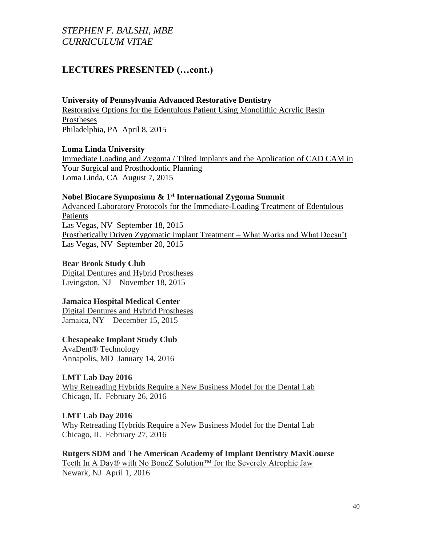# **LECTURES PRESENTED (…cont.)**

### **University of Pennsylvania Advanced Restorative Dentistry**

Restorative Options for the Edentulous Patient Using Monolithic Acrylic Resin Prostheses Philadelphia, PA April 8, 2015

### **Loma Linda University**

Immediate Loading and Zygoma / Tilted Implants and the Application of CAD CAM in Your Surgical and Prosthodontic Planning Loma Linda, CA August 7, 2015

### **Nobel Biocare Symposium & 1st International Zygoma Summit**

Advanced Laboratory Protocols for the Immediate-Loading Treatment of Edentulous Patients Las Vegas, NV September 18, 2015 Prosthetically Driven Zygomatic Implant Treatment – What Works and What Doesn't Las Vegas, NV September 20, 2015

#### **Bear Brook Study Club**

Digital Dentures and Hybrid Prostheses Livingston, NJ November 18, 2015

### **Jamaica Hospital Medical Center**

Digital Dentures and Hybrid Prostheses Jamaica, NY December 15, 2015

### **Chesapeake Implant Study Club**

AvaDent® Technology Annapolis, MD January 14, 2016

### **LMT Lab Day 2016**

Why Retreading Hybrids Require a New Business Model for the Dental Lab Chicago, IL February 26, 2016

**LMT Lab Day 2016**

Why Retreading Hybrids Require a New Business Model for the Dental Lab Chicago, IL February 27, 2016

### **Rutgers SDM and The American Academy of Implant Dentistry MaxiCourse**

Teeth In A Day® with No BoneZ Solution™ for the Severely Atrophic Jaw Newark, NJ April 1, 2016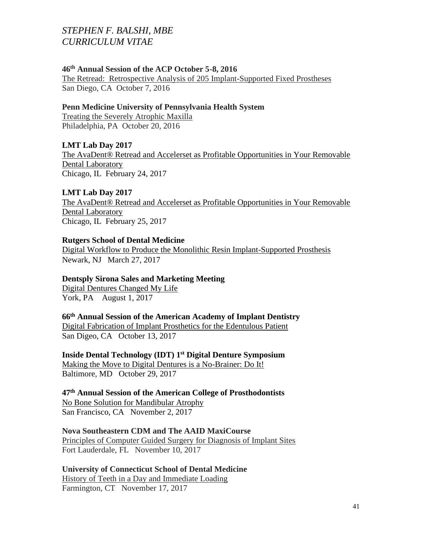### **46th Annual Session of the ACP October 5-8, 2016**

The Retread: Retrospective Analysis of 205 Implant-Supported Fixed Prostheses San Diego, CA October 7, 2016

### **Penn Medicine University of Pennsylvania Health System**

Treating the Severely Atrophic Maxilla Philadelphia, PA October 20, 2016

### **LMT Lab Day 2017**

The AvaDent® Retread and Accelerset as Profitable Opportunities in Your Removable Dental Laboratory Chicago, IL February 24, 2017

### **LMT Lab Day 2017**

The AvaDent® Retread and Accelerset as Profitable Opportunities in Your Removable Dental Laboratory Chicago, IL February 25, 2017

### **Rutgers School of Dental Medicine**

Digital Workflow to Produce the Monolithic Resin Implant-Supported Prosthesis Newark, NJ March 27, 2017

### **Dentsply Sirona Sales and Marketing Meeting**

Digital Dentures Changed My Life York, PA August 1, 2017

#### **66th Annual Session of the American Academy of Implant Dentistry**

Digital Fabrication of Implant Prosthetics for the Edentulous Patient San Digeo, CA October 13, 2017

**Inside Dental Technology (IDT) 1st Digital Denture Symposium**

Making the Move to Digital Dentures is a No-Brainer: Do It! Baltimore, MD October 29, 2017

**47th Annual Session of the American College of Prosthodontists** No Bone Solution for Mandibular Atrophy San Francisco, CA November 2, 2017

#### **Nova Southeastern CDM and The AAID MaxiCourse**

Principles of Computer Guided Surgery for Diagnosis of Implant Sites Fort Lauderdale, FL November 10, 2017

### **University of Connecticut School of Dental Medicine**

History of Teeth in a Day and Immediate Loading Farmington, CT November 17, 2017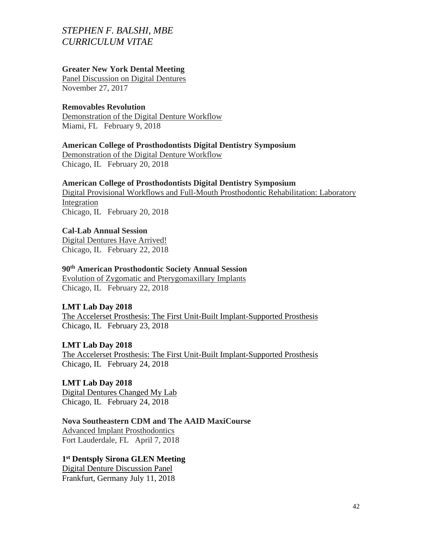#### **Greater New York Dental Meeting**

Panel Discussion on Digital Dentures November 27, 2017

### **Removables Revolution**

Demonstration of the Digital Denture Workflow Miami, FL February 9, 2018

### **American College of Prosthodontists Digital Dentistry Symposium**

Demonstration of the Digital Denture Workflow Chicago, IL February 20, 2018

#### **American College of Prosthodontists Digital Dentistry Symposium**

Digital Provisional Workflows and Full-Mouth Prosthodontic Rehabilitation: Laboratory Integration Chicago, IL February 20, 2018

#### **Cal-Lab Annual Session**

Digital Dentures Have Arrived! Chicago, IL February 22, 2018

### **90th American Prosthodontic Society Annual Session**

Evolution of Zygomatic and Pterygomaxillary Implants Chicago, IL February 22, 2018

#### **LMT Lab Day 2018**

The Accelerset Prosthesis: The First Unit-Built Implant-Supported Prosthesis Chicago, IL February 23, 2018

### **LMT Lab Day 2018**

The Accelerset Prosthesis: The First Unit-Built Implant-Supported Prosthesis Chicago, IL February 24, 2018

### **LMT Lab Day 2018**

Digital Dentures Changed My Lab Chicago, IL February 24, 2018

## **Nova Southeastern CDM and The AAID MaxiCourse**

Advanced Implant Prosthodontics Fort Lauderdale, FL April 7, 2018

### **1 st Dentsply Sirona GLEN Meeting**

Digital Denture Discussion Panel Frankfurt, Germany July 11, 2018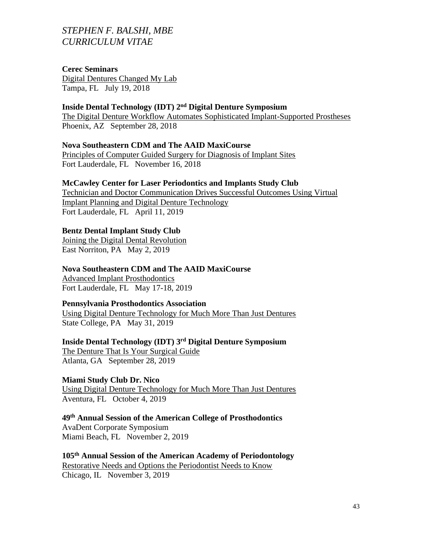#### **Cerec Seminars**

Digital Dentures Changed My Lab Tampa, FL July 19, 2018

#### **Inside Dental Technology (IDT) 2nd Digital Denture Symposium**

The Digital Denture Workflow Automates Sophisticated Implant-Supported Prostheses Phoenix, AZ September 28, 2018

### **Nova Southeastern CDM and The AAID MaxiCourse**

Principles of Computer Guided Surgery for Diagnosis of Implant Sites Fort Lauderdale, FL November 16, 2018

#### **McCawley Center for Laser Periodontics and Implants Study Club**

Technician and Doctor Communication Drives Successful Outcomes Using Virtual Implant Planning and Digital Denture Technology Fort Lauderdale, FL April 11, 2019

#### **Bentz Dental Implant Study Club**

Joining the Digital Dental Revolution East Norriton, PA May 2, 2019

#### **Nova Southeastern CDM and The AAID MaxiCourse**

Advanced Implant Prosthodontics Fort Lauderdale, FL May 17-18, 2019

### **Pennsylvania Prosthodontics Association**

Using Digital Denture Technology for Much More Than Just Dentures State College, PA May 31, 2019

## **Inside Dental Technology (IDT) 3rd Digital Denture Symposium**

The Denture That Is Your Surgical Guide Atlanta, GA September 28, 2019

#### **Miami Study Club Dr. Nico**

Using Digital Denture Technology for Much More Than Just Dentures Aventura, FL October 4, 2019

#### **49th Annual Session of the American College of Prosthodontics**

AvaDent Corporate Symposium Miami Beach, FL November 2, 2019

### **105th Annual Session of the American Academy of Periodontology** Restorative Needs and Options the Periodontist Needs to Know Chicago, IL November 3, 2019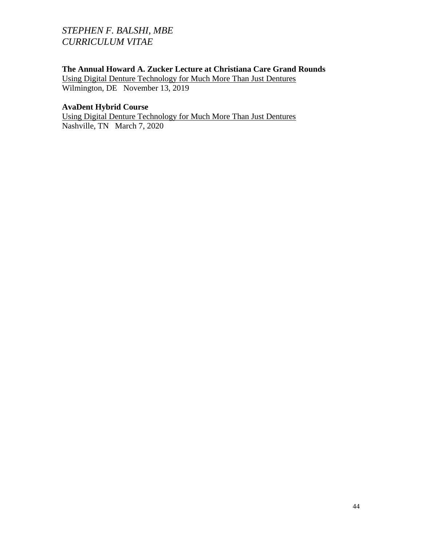## **The Annual Howard A. Zucker Lecture at Christiana Care Grand Rounds**

Using Digital Denture Technology for Much More Than Just Dentures Wilmington, DE November 13, 2019

### **AvaDent Hybrid Course**

Using Digital Denture Technology for Much More Than Just Dentures Nashville, TN March 7, 2020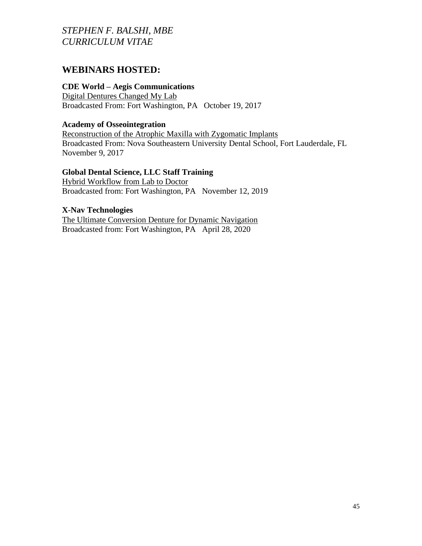# **WEBINARS HOSTED:**

### **CDE World – Aegis Communications**

Digital Dentures Changed My Lab Broadcasted From: Fort Washington, PA October 19, 2017

### **Academy of Osseointegration**

Reconstruction of the Atrophic Maxilla with Zygomatic Implants Broadcasted From: Nova Southeastern University Dental School, Fort Lauderdale, FL November 9, 2017

### **Global Dental Science, LLC Staff Training**

Hybrid Workflow from Lab to Doctor Broadcasted from: Fort Washington, PA November 12, 2019

### **X-Nav Technologies**

The Ultimate Conversion Denture for Dynamic Navigation Broadcasted from: Fort Washington, PA April 28, 2020